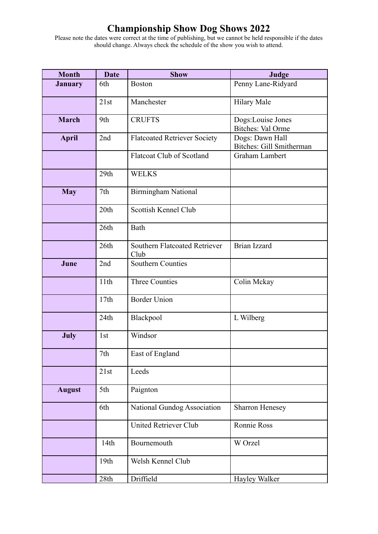# **Championship Show Dog Shows 2022**

Please note the dates were correct at the time of publishing, but we cannot be held responsible if the dates should change. Always check the schedule of the show you wish to attend.

| <b>Month</b>   | <b>Date</b>    | <b>Show</b>                                  | Judge                           |
|----------------|----------------|----------------------------------------------|---------------------------------|
| <b>January</b> | 6th            | <b>Boston</b>                                | Penny Lane-Ridyard              |
|                |                |                                              |                                 |
|                | 21st           | Manchester                                   | <b>Hilary Male</b>              |
| <b>March</b>   | 9th            | <b>CRUFTS</b>                                | Dogs:Louise Jones               |
|                |                |                                              | <b>Bitches: Val Orme</b>        |
| <b>April</b>   | 2nd            | <b>Flatcoated Retriever Society</b>          | Dogs: Dawn Hall                 |
|                |                |                                              | <b>Bitches: Gill Smitherman</b> |
|                |                | <b>Flatcoat Club of Scotland</b>             | Graham Lambert                  |
|                | 29th           | <b>WELKS</b>                                 |                                 |
| <b>May</b>     | 7th            | <b>Birmingham National</b>                   |                                 |
|                | 20th           | Scottish Kennel Club                         |                                 |
|                | 26th           | Bath                                         |                                 |
|                | 26th           | <b>Southern Flatcoated Retriever</b><br>Club | <b>Brian Izzard</b>             |
| June           | 2nd            | <b>Southern Counties</b>                     |                                 |
|                | 11th           | <b>Three Counties</b>                        | Colin Mckay                     |
|                | 17th           | Border Union                                 |                                 |
|                | 24th           | Blackpool                                    | L Wilberg                       |
| July           | 1st            | Windsor                                      |                                 |
|                | $7\mathrm{th}$ | East of England                              |                                 |
|                | 21st           | Leeds                                        |                                 |
| <b>August</b>  | 5th            | Paignton                                     |                                 |
|                | 6th            | National Gundog Association                  | Sharron Henesey                 |
|                |                | <b>United Retriever Club</b>                 | Ronnie Ross                     |
|                | 14th           | Bournemouth                                  | W Orzel                         |
|                | 19th           | Welsh Kennel Club                            |                                 |
|                | 28th           | Driffield                                    | Hayley Walker                   |